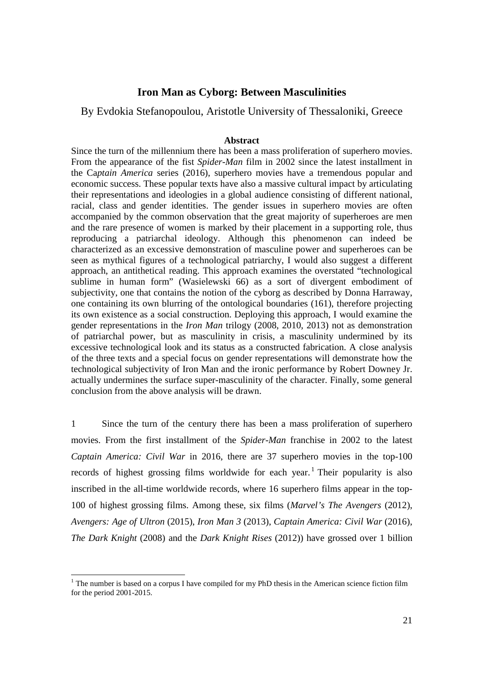# **Iron Man as Cyborg: Between Masculinities**

By Evdokia Stefanopoulou, Aristotle University of Thessaloniki, Greece

### **Abstract**

Since the turn of the millennium there has been a mass proliferation of superhero movies. From the appearance of the fist *Spider-Man* film in 2002 since the latest installment in the Ca*ptain America* series (2016), superhero movies have a tremendous popular and economic success. These popular texts have also a massive cultural impact by articulating their representations and ideologies in a global audience consisting of different national, racial, class and gender identities. The gender issues in superhero movies are often accompanied by the common observation that the great majority of superheroes are men and the rare presence of women is marked by their placement in a supporting role, thus reproducing a patriarchal ideology. Although this phenomenon can indeed be characterized as an excessive demonstration of masculine power and superheroes can be seen as mythical figures of a technological patriarchy, I would also suggest a different approach, an antithetical reading. This approach examines the overstated "technological sublime in human form" (Wasielewski 66) as a sort of divergent embodiment of subjectivity, one that contains the notion of the cyborg as described by Donna Harraway, one containing its own blurring of the ontological boundaries (161), therefore projecting its own existence as a social construction. Deploying this approach, I would examine the gender representations in the *Iron Man* trilogy (2008, 2010, 2013) not as demonstration of patriarchal power, but as masculinity in crisis, a masculinity undermined by its excessive technological look and its status as a constructed fabrication. A close analysis of the three texts and a special focus on gender representations will demonstrate how the technological subjectivity of Iron Man and the ironic performance by Robert Downey Jr. actually undermines the surface super-masculinity of the character. Finally, some general conclusion from the above analysis will be drawn.

1 Since the turn of the century there has been a mass proliferation of superhero movies. From the first installment of the *Spider-Man* franchise in 2002 to the latest *Captain America: Civil War* in 2016, there are 37 superhero movies in the top-100 records of highest grossing films worldwide for each year.<sup>1</sup> Their popularity is also inscribed in the all-time worldwide records, where 16 superhero films appear in the top-100 of highest grossing films. Among these, six films (*Marvel's The Avengers* (2012), *Avengers: Age of Ultron* (2015), *Iron Man 3* (2013), *Captain America: Civil War* (2016), *The Dark Knight* (2008) and the *Dark Knight Rises* (2012)) have grossed over 1 billion

 $<sup>1</sup>$  The number is based on a corpus I have compiled for my PhD thesis in the American science fiction film</sup> for the period 2001-2015.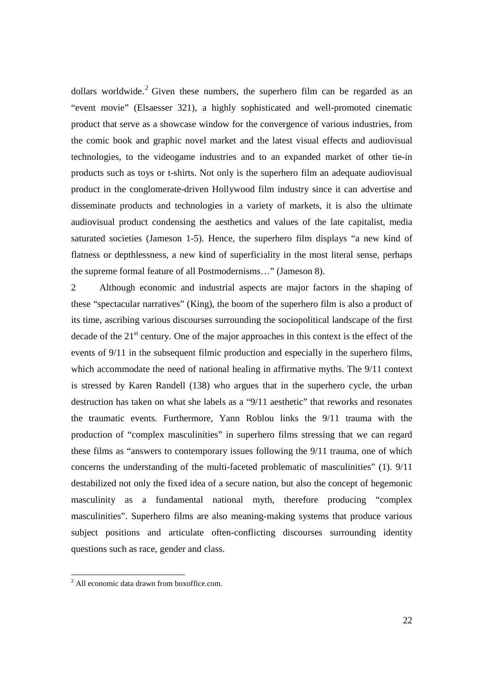dollars worldwide.<sup>2</sup> Given these numbers, the superhero film can be regarded as an "event movie" (Elsaesser 321), a highly sophisticated and well-promoted cinematic product that serve as a showcase window for the convergence of various industries, from the comic book and graphic novel market and the latest visual effects and audiovisual technologies, to the videogame industries and to an expanded market of other tie-in products such as toys or t-shirts. Not only is the superhero film an adequate audiovisual product in the conglomerate-driven Hollywood film industry since it can advertise and disseminate products and technologies in a variety of markets, it is also the ultimate audiovisual product condensing the aesthetics and values of the late capitalist, media saturated societies (Jameson 1-5). Hence, the superhero film displays "a new kind of flatness or depthlessness, a new kind of superficiality in the most literal sense, perhaps the supreme formal feature of all Postmodernisms…" (Jameson 8).

2 Although economic and industrial aspects are major factors in the shaping of these "spectacular narratives" (King), the boom of the superhero film is also a product of its time, ascribing various discourses surrounding the sociopolitical landscape of the first decade of the  $21<sup>st</sup>$  century. One of the major approaches in this context is the effect of the events of 9/11 in the subsequent filmic production and especially in the superhero films, which accommodate the need of national healing in affirmative myths. The 9/11 context is stressed by Karen Randell (138) who argues that in the superhero cycle, the urban destruction has taken on what she labels as a "9/11 aesthetic" that reworks and resonates the traumatic events. Furthermore, Yann Roblou links the 9/11 trauma with the production of "complex masculinities" in superhero films stressing that we can regard these films as "answers to contemporary issues following the 9/11 trauma, one of which concerns the understanding of the multi-faceted problematic of masculinities" (1). 9/11 destabilized not only the fixed idea of a secure nation, but also the concept of hegemonic masculinity as a fundamental national myth, therefore producing "complex masculinities". Superhero films are also meaning-making systems that produce various subject positions and articulate often-conflicting discourses surrounding identity questions such as race, gender and class.

<sup>&</sup>lt;sup>2</sup> All economic data drawn from boxoffice.com.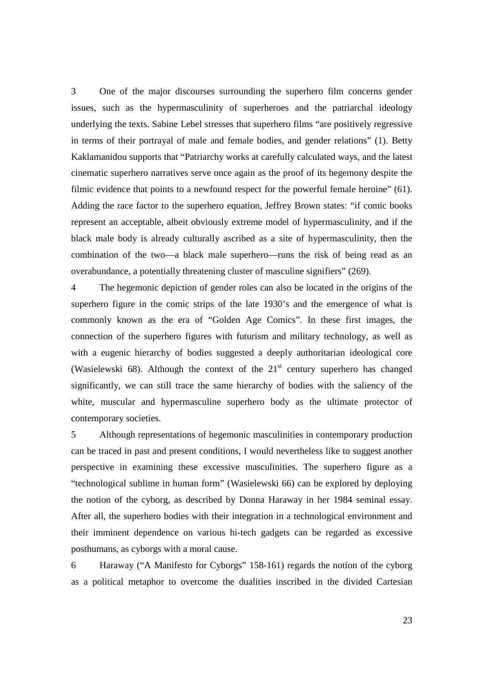3 One of the major discourses surrounding the superhero film concerns gender issues, such as the hypermasculinity of superheroes and the patriarchal ideology underlying the texts. Sabine Lebel stresses that superhero films "are positively regressive in terms of their portrayal of male and female bodies, and gender relations" (1). Betty Kaklamanidou supports that "Patriarchy works at carefully calculated ways, and the latest cinematic superhero narratives serve once again as the proof of its hegemony despite the filmic evidence that points to a newfound respect for the powerful female heroine" (61). Adding the race factor to the superhero equation, Jeffrey Brown states: "if comic books represent an acceptable, albeit obviously extreme model of hypermasculinity, and if the black male body is already culturally ascribed as a site of hypermasculinity, then the combination of the two—a black male superhero—runs the risk of being read as an overabundance, a potentially threatening cluster of masculine signifiers" (269).

4 The hegemonic depiction of gender roles can also be located in the origins of the superhero figure in the comic strips of the late 1930's and the emergence of what is commonly known as the era of "Golden Age Comics". In these first images, the connection of the superhero figures with futurism and military technology, as well as with a eugenic hierarchy of bodies suggested a deeply authoritarian ideological core (Wasielewski  $68$ ). Although the context of the  $21<sup>st</sup>$  century superhero has changed significantly, we can still trace the same hierarchy of bodies with the saliency of the white, muscular and hypermasculine superhero body as the ultimate protector of contemporary societies.

5 Although representations of hegemonic masculinities in contemporary production can be traced in past and present conditions, I would nevertheless like to suggest another perspective in examining these excessive masculinities. The superhero figure as a "technological sublime in human form" (Wasielewski 66) can be explored by deploying the notion of the cyborg, as described by Donna Haraway in her 1984 seminal essay. After all, the superhero bodies with their integration in a technological environment and their imminent dependence on various hi-tech gadgets can be regarded as excessive posthumans, as cyborgs with a moral cause.

6 Haraway ("A Manifesto for Cyborgs" 158-161) regards the notion of the cyborg as a political metaphor to overcome the dualities inscribed in the divided Cartesian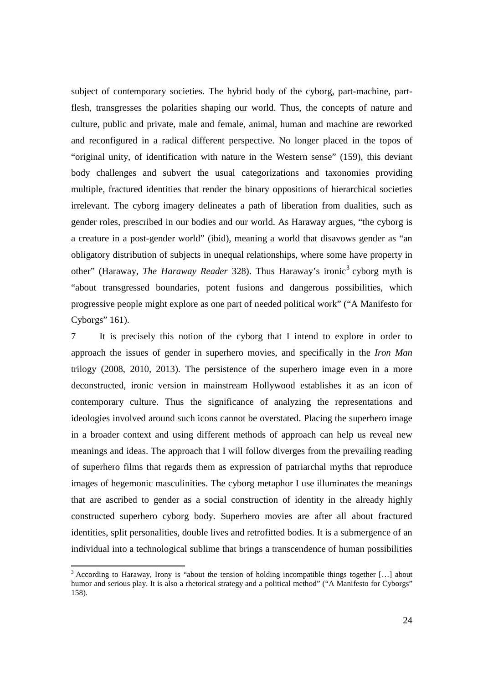subject of contemporary societies. The hybrid body of the cyborg, part-machine, partflesh, transgresses the polarities shaping our world. Thus, the concepts of nature and culture, public and private, male and female, animal, human and machine are reworked and reconfigured in a radical different perspective. No longer placed in the topos of "original unity, of identification with nature in the Western sense" (159), this deviant body challenges and subvert the usual categorizations and taxonomies providing multiple, fractured identities that render the binary oppositions of hierarchical societies irrelevant. The cyborg imagery delineates a path of liberation from dualities, such as gender roles, prescribed in our bodies and our world. As Haraway argues, "the cyborg is a creature in a post-gender world" (ibid), meaning a world that disavows gender as "an obligatory distribution of subjects in unequal relationships, where some have property in other" (Haraway, *The Haraway Reader* 328). Thus Haraway's ironic<sup>3</sup> cyborg myth is "about transgressed boundaries, potent fusions and dangerous possibilities, which progressive people might explore as one part of needed political work" ("A Manifesto for Cyborgs" 161).

7 It is precisely this notion of the cyborg that I intend to explore in order to approach the issues of gender in superhero movies, and specifically in the *Iron Man* trilogy (2008, 2010, 2013). The persistence of the superhero image even in a more deconstructed, ironic version in mainstream Hollywood establishes it as an icon of contemporary culture. Thus the significance of analyzing the representations and ideologies involved around such icons cannot be overstated. Placing the superhero image in a broader context and using different methods of approach can help us reveal new meanings and ideas. The approach that I will follow diverges from the prevailing reading of superhero films that regards them as expression of patriarchal myths that reproduce images of hegemonic masculinities. The cyborg metaphor I use illuminates the meanings that are ascribed to gender as a social construction of identity in the already highly constructed superhero cyborg body. Superhero movies are after all about fractured identities, split personalities, double lives and retrofitted bodies. It is a submergence of an individual into a technological sublime that brings a transcendence of human possibilities

<sup>&</sup>lt;sup>3</sup> According to Haraway, Irony is "about the tension of holding incompatible things together [...] about humor and serious play. It is also a rhetorical strategy and a political method" ("A Manifesto for Cyborgs" 158).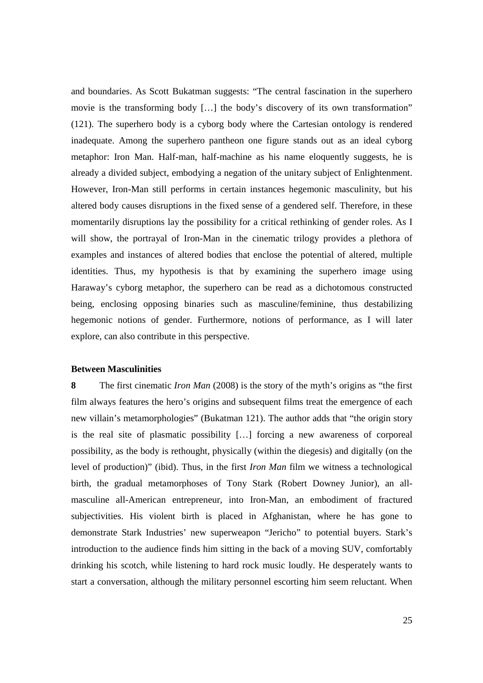and boundaries. As Scott Bukatman suggests: "The central fascination in the superhero movie is the transforming body […] the body's discovery of its own transformation" (121). The superhero body is a cyborg body where the Cartesian ontology is rendered inadequate. Among the superhero pantheon one figure stands out as an ideal cyborg metaphor: Iron Man. Half-man, half-machine as his name eloquently suggests, he is already a divided subject, embodying a negation of the unitary subject of Enlightenment. However, Iron-Man still performs in certain instances hegemonic masculinity, but his altered body causes disruptions in the fixed sense of a gendered self. Therefore, in these momentarily disruptions lay the possibility for a critical rethinking of gender roles. As I will show, the portrayal of Iron-Man in the cinematic trilogy provides a plethora of examples and instances of altered bodies that enclose the potential of altered, multiple identities. Thus, my hypothesis is that by examining the superhero image using Haraway's cyborg metaphor, the superhero can be read as a dichotomous constructed being, enclosing opposing binaries such as masculine/feminine, thus destabilizing hegemonic notions of gender. Furthermore, notions of performance, as I will later explore, can also contribute in this perspective.

### **Between Masculinities**

**8** The first cinematic *Iron Man* (2008) is the story of the myth's origins as "the first film always features the hero's origins and subsequent films treat the emergence of each new villain's metamorphologies" (Bukatman 121). The author adds that "the origin story is the real site of plasmatic possibility […] forcing a new awareness of corporeal possibility, as the body is rethought, physically (within the diegesis) and digitally (on the level of production)" (ibid). Thus, in the first *Iron Man* film we witness a technological birth, the gradual metamorphoses of Tony Stark (Robert Downey Junior), an allmasculine all-American entrepreneur, into Iron-Man, an embodiment of fractured subjectivities. His violent birth is placed in Afghanistan, where he has gone to demonstrate Stark Industries' new superweapon "Jericho" to potential buyers. Stark's introduction to the audience finds him sitting in the back of a moving SUV, comfortably drinking his scotch, while listening to hard rock music loudly. He desperately wants to start a conversation, although the military personnel escorting him seem reluctant. When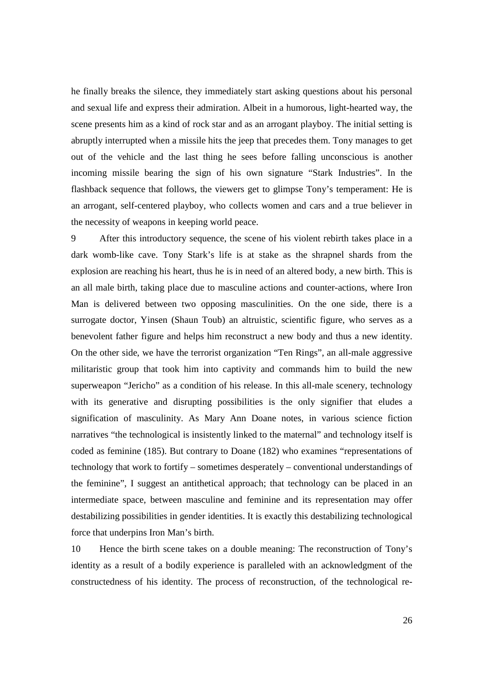he finally breaks the silence, they immediately start asking questions about his personal and sexual life and express their admiration. Albeit in a humorous, light-hearted way, the scene presents him as a kind of rock star and as an arrogant playboy. The initial setting is abruptly interrupted when a missile hits the jeep that precedes them. Tony manages to get out of the vehicle and the last thing he sees before falling unconscious is another incoming missile bearing the sign of his own signature "Stark Industries". In the flashback sequence that follows, the viewers get to glimpse Tony's temperament: He is an arrogant, self-centered playboy, who collects women and cars and a true believer in the necessity of weapons in keeping world peace.

9 After this introductory sequence, the scene of his violent rebirth takes place in a dark womb-like cave. Tony Stark's life is at stake as the shrapnel shards from the explosion are reaching his heart, thus he is in need of an altered body, a new birth. This is an all male birth, taking place due to masculine actions and counter-actions, where Iron Man is delivered between two opposing masculinities. On the one side, there is a surrogate doctor, Yinsen (Shaun Toub) an altruistic, scientific figure, who serves as a benevolent father figure and helps him reconstruct a new body and thus a new identity. On the other side, we have the terrorist organization "Ten Rings", an all-male aggressive militaristic group that took him into captivity and commands him to build the new superweapon "Jericho" as a condition of his release. In this all-male scenery, technology with its generative and disrupting possibilities is the only signifier that eludes a signification of masculinity. As Mary Ann Doane notes, in various science fiction narratives "the technological is insistently linked to the maternal" and technology itself is coded as feminine (185). But contrary to Doane (182) who examines "representations of technology that work to fortify – sometimes desperately – conventional understandings of the feminine", I suggest an antithetical approach; that technology can be placed in an intermediate space, between masculine and feminine and its representation may offer destabilizing possibilities in gender identities. It is exactly this destabilizing technological force that underpins Iron Man's birth.

10 Hence the birth scene takes on a double meaning: The reconstruction of Tony's identity as a result of a bodily experience is paralleled with an acknowledgment of the constructedness of his identity. The process of reconstruction, of the technological re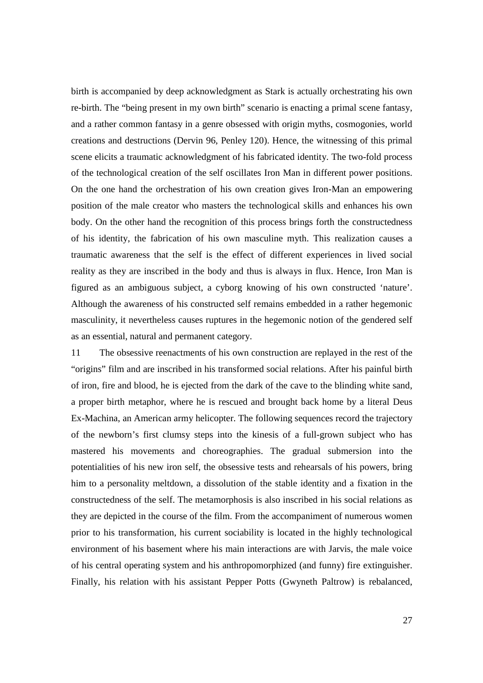birth is accompanied by deep acknowledgment as Stark is actually orchestrating his own re-birth. The "being present in my own birth" scenario is enacting a primal scene fantasy, and a rather common fantasy in a genre obsessed with origin myths, cosmogonies, world creations and destructions (Dervin 96, Penley 120). Hence, the witnessing of this primal scene elicits a traumatic acknowledgment of his fabricated identity. The two-fold process of the technological creation of the self oscillates Iron Man in different power positions. On the one hand the orchestration of his own creation gives Iron-Man an empowering position of the male creator who masters the technological skills and enhances his own body. On the other hand the recognition of this process brings forth the constructedness of his identity, the fabrication of his own masculine myth. This realization causes a traumatic awareness that the self is the effect of different experiences in lived social reality as they are inscribed in the body and thus is always in flux. Hence, Iron Man is figured as an ambiguous subject, a cyborg knowing of his own constructed 'nature'. Although the awareness of his constructed self remains embedded in a rather hegemonic masculinity, it nevertheless causes ruptures in the hegemonic notion of the gendered self as an essential, natural and permanent category.

11 The obsessive reenactments of his own construction are replayed in the rest of the "origins" film and are inscribed in his transformed social relations. After his painful birth of iron, fire and blood, he is ejected from the dark of the cave to the blinding white sand, a proper birth metaphor, where he is rescued and brought back home by a literal Deus Ex-Machina, an American army helicopter. The following sequences record the trajectory of the newborn's first clumsy steps into the kinesis of a full-grown subject who has mastered his movements and choreographies. The gradual submersion into the potentialities of his new iron self, the obsessive tests and rehearsals of his powers, bring him to a personality meltdown, a dissolution of the stable identity and a fixation in the constructedness of the self. The metamorphosis is also inscribed in his social relations as they are depicted in the course of the film. From the accompaniment of numerous women prior to his transformation, his current sociability is located in the highly technological environment of his basement where his main interactions are with Jarvis, the male voice of his central operating system and his anthropomorphized (and funny) fire extinguisher. Finally, his relation with his assistant Pepper Potts (Gwyneth Paltrow) is rebalanced,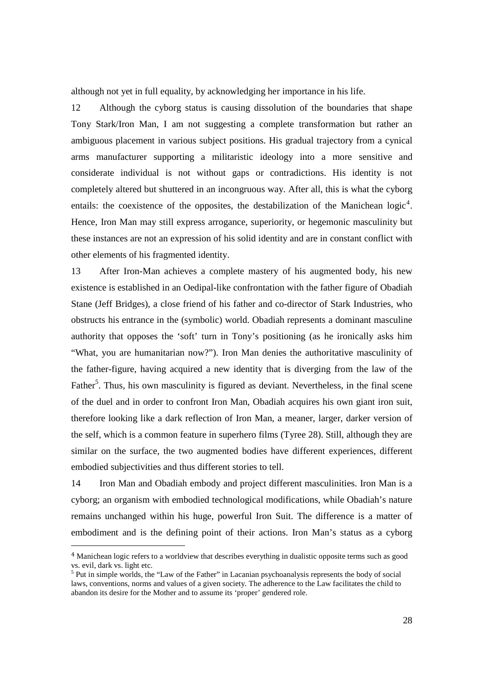although not yet in full equality, by acknowledging her importance in his life.

12 Although the cyborg status is causing dissolution of the boundaries that shape Tony Stark/Iron Man, I am not suggesting a complete transformation but rather an ambiguous placement in various subject positions. His gradual trajectory from a cynical arms manufacturer supporting a militaristic ideology into a more sensitive and considerate individual is not without gaps or contradictions. His identity is not completely altered but shuttered in an incongruous way. After all, this is what the cyborg entails: the coexistence of the opposites, the destabilization of the Manichean  $logic<sup>4</sup>$ . Hence, Iron Man may still express arrogance, superiority, or hegemonic masculinity but these instances are not an expression of his solid identity and are in constant conflict with other elements of his fragmented identity.

13 After Iron-Man achieves a complete mastery of his augmented body, his new existence is established in an Oedipal-like confrontation with the father figure of Obadiah Stane (Jeff Bridges), a close friend of his father and co-director of Stark Industries, who obstructs his entrance in the (symbolic) world. Obadiah represents a dominant masculine authority that opposes the 'soft' turn in Tony's positioning (as he ironically asks him "What, you are humanitarian now?"). Iron Man denies the authoritative masculinity of the father-figure, having acquired a new identity that is diverging from the law of the Father<sup>5</sup>. Thus, his own masculinity is figured as deviant. Nevertheless, in the final scene of the duel and in order to confront Iron Man, Obadiah acquires his own giant iron suit, therefore looking like a dark reflection of Iron Man, a meaner, larger, darker version of the self, which is a common feature in superhero films (Tyree 28). Still, although they are similar on the surface, the two augmented bodies have different experiences, different embodied subjectivities and thus different stories to tell.

14 Iron Man and Obadiah embody and project different masculinities. Iron Man is a cyborg; an organism with embodied technological modifications, while Obadiah's nature remains unchanged within his huge, powerful Iron Suit. The difference is a matter of embodiment and is the defining point of their actions. Iron Man's status as a cyborg

<sup>4</sup> Manichean logic refers to a worldview that describes everything in dualistic opposite terms such as good vs. evil, dark vs. light etc.

<sup>&</sup>lt;sup>5</sup> Put in simple worlds, the "Law of the Father" in Lacanian psychoanalysis represents the body of social laws, conventions, norms and values of a given society. The adherence to the Law facilitates the child to abandon its desire for the Mother and to assume its 'proper' gendered role.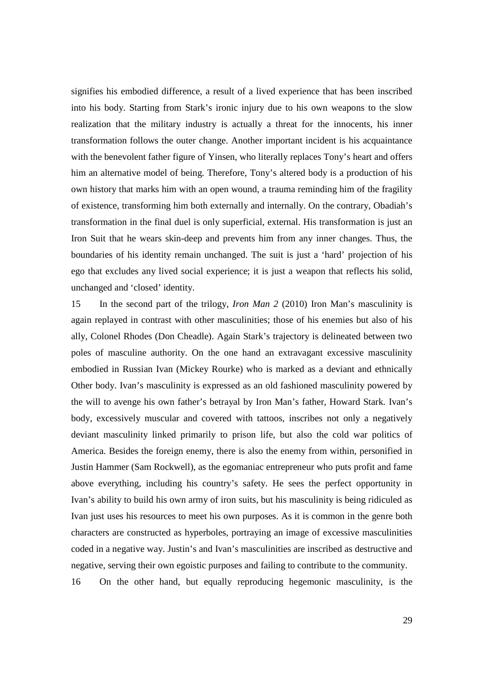signifies his embodied difference, a result of a lived experience that has been inscribed into his body. Starting from Stark's ironic injury due to his own weapons to the slow realization that the military industry is actually a threat for the innocents, his inner transformation follows the outer change. Another important incident is his acquaintance with the benevolent father figure of Yinsen, who literally replaces Tony's heart and offers him an alternative model of being. Therefore, Tony's altered body is a production of his own history that marks him with an open wound, a trauma reminding him of the fragility of existence, transforming him both externally and internally. On the contrary, Obadiah's transformation in the final duel is only superficial, external. His transformation is just an Iron Suit that he wears skin-deep and prevents him from any inner changes. Thus, the boundaries of his identity remain unchanged. The suit is just a 'hard' projection of his ego that excludes any lived social experience; it is just a weapon that reflects his solid, unchanged and 'closed' identity.

15 In the second part of the trilogy, *Iron Man 2* (2010) Iron Man's masculinity is again replayed in contrast with other masculinities; those of his enemies but also of his ally, Colonel Rhodes (Don Cheadle). Again Stark's trajectory is delineated between two poles of masculine authority. On the one hand an extravagant excessive masculinity embodied in Russian Ivan (Mickey Rourke) who is marked as a deviant and ethnically Other body. Ivan's masculinity is expressed as an old fashioned masculinity powered by the will to avenge his own father's betrayal by Iron Man's father, Howard Stark. Ivan's body, excessively muscular and covered with tattoos, inscribes not only a negatively deviant masculinity linked primarily to prison life, but also the cold war politics of America. Besides the foreign enemy, there is also the enemy from within, personified in Justin Hammer (Sam Rockwell), as the egomaniac entrepreneur who puts profit and fame above everything, including his country's safety. He sees the perfect opportunity in Ivan's ability to build his own army of iron suits, but his masculinity is being ridiculed as Ivan just uses his resources to meet his own purposes. As it is common in the genre both characters are constructed as hyperboles, portraying an image of excessive masculinities coded in a negative way. Justin's and Ivan's masculinities are inscribed as destructive and negative, serving their own egoistic purposes and failing to contribute to the community. 16 On the other hand, but equally reproducing hegemonic masculinity, is the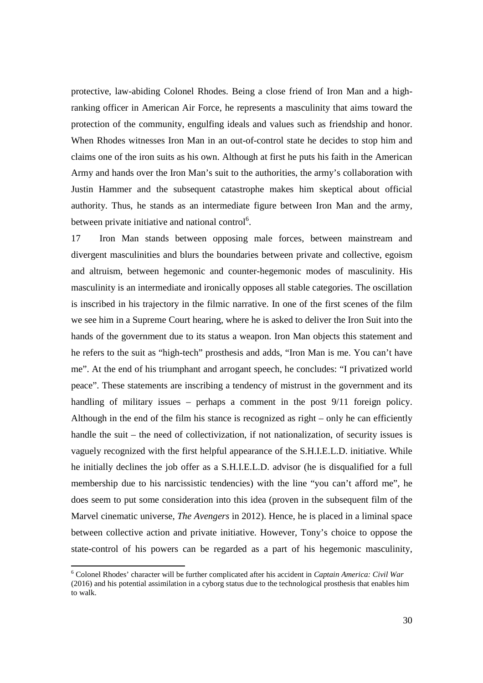protective, law-abiding Colonel Rhodes. Being a close friend of Iron Man and a highranking officer in American Air Force, he represents a masculinity that aims toward the protection of the community, engulfing ideals and values such as friendship and honor. When Rhodes witnesses Iron Man in an out-of-control state he decides to stop him and claims one of the iron suits as his own. Although at first he puts his faith in the American Army and hands over the Iron Man's suit to the authorities, the army's collaboration with Justin Hammer and the subsequent catastrophe makes him skeptical about official authority. Thus, he stands as an intermediate figure between Iron Man and the army, between private initiative and national control<sup>6</sup>.

17 Iron Man stands between opposing male forces, between mainstream and divergent masculinities and blurs the boundaries between private and collective, egoism and altruism, between hegemonic and counter-hegemonic modes of masculinity. His masculinity is an intermediate and ironically opposes all stable categories. The oscillation is inscribed in his trajectory in the filmic narrative. In one of the first scenes of the film we see him in a Supreme Court hearing, where he is asked to deliver the Iron Suit into the hands of the government due to its status a weapon. Iron Man objects this statement and he refers to the suit as "high-tech" prosthesis and adds, "Iron Man is me. You can't have me". At the end of his triumphant and arrogant speech, he concludes: "I privatized world peace". These statements are inscribing a tendency of mistrust in the government and its handling of military issues – perhaps a comment in the post 9/11 foreign policy. Although in the end of the film his stance is recognized as right – only he can efficiently handle the suit – the need of collectivization, if not nationalization, of security issues is vaguely recognized with the first helpful appearance of the S.H.I.E.L.D. initiative. While he initially declines the job offer as a S.H.I.E.L.D. advisor (he is disqualified for a full membership due to his narcissistic tendencies) with the line "you can't afford me", he does seem to put some consideration into this idea (proven in the subsequent film of the Marvel cinematic universe, *The Avengers* in 2012). Hence, he is placed in a liminal space between collective action and private initiative. However, Tony's choice to oppose the state-control of his powers can be regarded as a part of his hegemonic masculinity,

<sup>6</sup> Colonel Rhodes' character will be further complicated after his accident in *Captain America: Civil War* (2016) and his potential assimilation in a cyborg status due to the technological prosthesis that enables him to walk.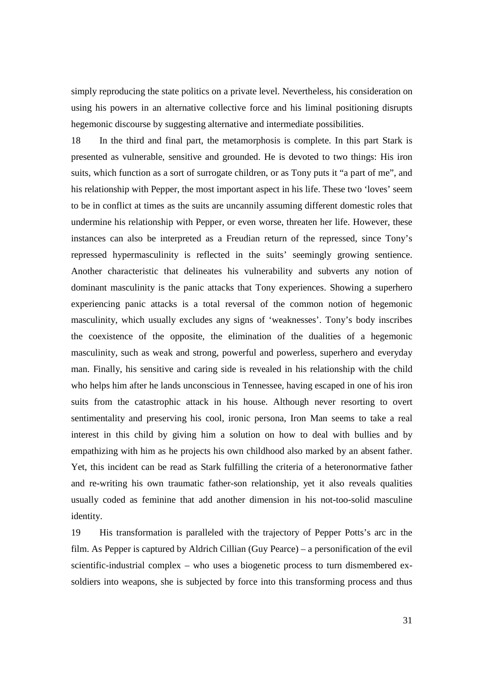simply reproducing the state politics on a private level. Nevertheless, his consideration on using his powers in an alternative collective force and his liminal positioning disrupts hegemonic discourse by suggesting alternative and intermediate possibilities.

18 In the third and final part, the metamorphosis is complete. In this part Stark is presented as vulnerable, sensitive and grounded. He is devoted to two things: His iron suits, which function as a sort of surrogate children, or as Tony puts it "a part of me", and his relationship with Pepper, the most important aspect in his life. These two 'loves' seem to be in conflict at times as the suits are uncannily assuming different domestic roles that undermine his relationship with Pepper, or even worse, threaten her life. However, these instances can also be interpreted as a Freudian return of the repressed, since Tony's repressed hypermasculinity is reflected in the suits' seemingly growing sentience. Another characteristic that delineates his vulnerability and subverts any notion of dominant masculinity is the panic attacks that Tony experiences. Showing a superhero experiencing panic attacks is a total reversal of the common notion of hegemonic masculinity, which usually excludes any signs of 'weaknesses'. Tony's body inscribes the coexistence of the opposite, the elimination of the dualities of a hegemonic masculinity, such as weak and strong, powerful and powerless, superhero and everyday man. Finally, his sensitive and caring side is revealed in his relationship with the child who helps him after he lands unconscious in Tennessee, having escaped in one of his iron suits from the catastrophic attack in his house. Although never resorting to overt sentimentality and preserving his cool, ironic persona, Iron Man seems to take a real interest in this child by giving him a solution on how to deal with bullies and by empathizing with him as he projects his own childhood also marked by an absent father. Yet, this incident can be read as Stark fulfilling the criteria of a heteronormative father and re-writing his own traumatic father-son relationship, yet it also reveals qualities usually coded as feminine that add another dimension in his not-too-solid masculine identity.

19 His transformation is paralleled with the trajectory of Pepper Potts's arc in the film. As Pepper is captured by Aldrich Cillian (Guy Pearce) – a personification of the evil scientific-industrial complex – who uses a biogenetic process to turn dismembered exsoldiers into weapons, she is subjected by force into this transforming process and thus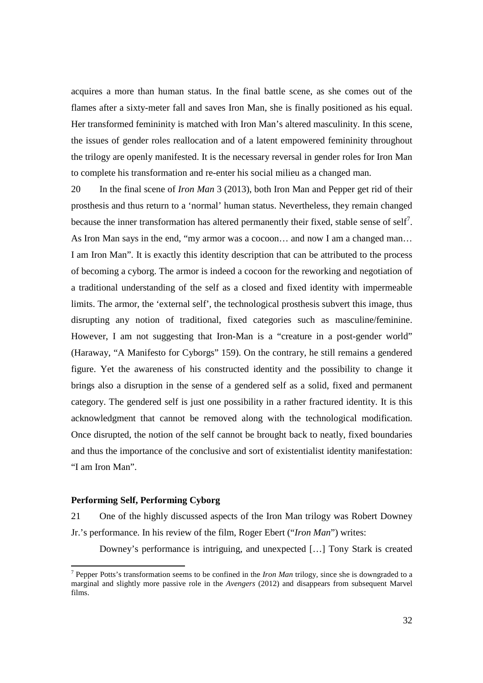acquires a more than human status. In the final battle scene, as she comes out of the flames after a sixty-meter fall and saves Iron Man, she is finally positioned as his equal. Her transformed femininity is matched with Iron Man's altered masculinity. In this scene, the issues of gender roles reallocation and of a latent empowered femininity throughout the trilogy are openly manifested. It is the necessary reversal in gender roles for Iron Man to complete his transformation and re-enter his social milieu as a changed man.

20 In the final scene of *Iron Man* 3 (2013), both Iron Man and Pepper get rid of their prosthesis and thus return to a 'normal' human status. Nevertheless, they remain changed because the inner transformation has altered permanently their fixed, stable sense of self<sup>7</sup>. As Iron Man says in the end, "my armor was a cocoon… and now I am a changed man… I am Iron Man". It is exactly this identity description that can be attributed to the process of becoming a cyborg. The armor is indeed a cocoon for the reworking and negotiation of a traditional understanding of the self as a closed and fixed identity with impermeable limits. The armor, the 'external self', the technological prosthesis subvert this image, thus disrupting any notion of traditional, fixed categories such as masculine/feminine. However, I am not suggesting that Iron-Man is a "creature in a post-gender world" (Haraway, "A Manifesto for Cyborgs" 159). On the contrary, he still remains a gendered figure. Yet the awareness of his constructed identity and the possibility to change it brings also a disruption in the sense of a gendered self as a solid, fixed and permanent category. The gendered self is just one possibility in a rather fractured identity. It is this acknowledgment that cannot be removed along with the technological modification. Once disrupted, the notion of the self cannot be brought back to neatly, fixed boundaries and thus the importance of the conclusive and sort of existentialist identity manifestation: "I am Iron Man".

## **Performing Self, Performing Cyborg**

 $\overline{a}$ 

21 One of the highly discussed aspects of the Iron Man trilogy was Robert Downey Jr.'s performance. In his review of the film, Roger Ebert ("*Iron Man*") writes:

Downey's performance is intriguing, and unexpected […] Tony Stark is created

<sup>7</sup> Pepper Potts's transformation seems to be confined in the *Iron Man* trilogy, since she is downgraded to a marginal and slightly more passive role in the *Avengers* (2012) and disappears from subsequent Marvel films.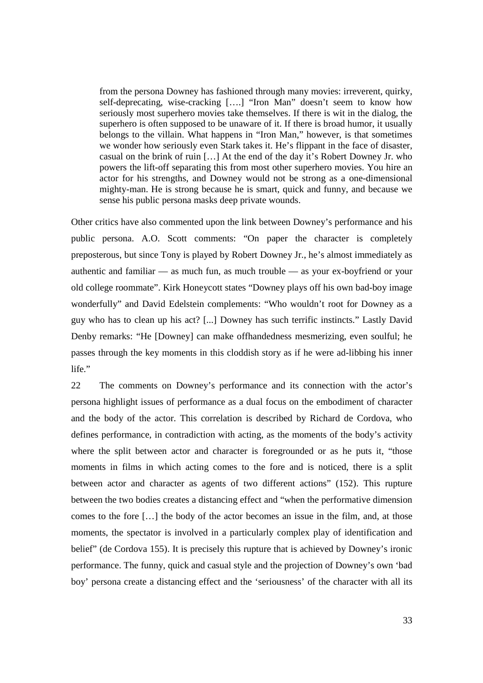from the persona Downey has fashioned through many movies: irreverent, quirky, self-deprecating, wise-cracking [….] "Iron Man" doesn't seem to know how seriously most superhero movies take themselves. If there is wit in the dialog, the superhero is often supposed to be unaware of it. If there is broad humor, it usually belongs to the villain. What happens in "Iron Man," however, is that sometimes we wonder how seriously even Stark takes it. He's flippant in the face of disaster, casual on the brink of ruin […] At the end of the day it's Robert Downey Jr. who powers the lift-off separating this from most other superhero movies. You hire an actor for his strengths, and Downey would not be strong as a one-dimensional mighty-man. He is strong because he is smart, quick and funny, and because we sense his public persona masks deep private wounds.

Other critics have also commented upon the link between Downey's performance and his public persona. A.O. Scott comments: "On paper the character is completely preposterous, but since Tony is played by Robert Downey Jr., he's almost immediately as authentic and familiar — as much fun, as much trouble — as your ex-boyfriend or your old college roommate". Kirk Honeycott states "Downey plays off his own bad-boy image wonderfully" and David Edelstein complements: "Who wouldn't root for Downey as a guy who has to clean up his act? [...] Downey has such terrific instincts." Lastly David Denby remarks: "He [Downey] can make offhandedness mesmerizing, even soulful; he passes through the key moments in this cloddish story as if he were ad-libbing his inner life."

22 The comments on Downey's performance and its connection with the actor's persona highlight issues of performance as a dual focus on the embodiment of character and the body of the actor. This correlation is described by Richard de Cordova, who defines performance, in contradiction with acting, as the moments of the body's activity where the split between actor and character is foregrounded or as he puts it, "those moments in films in which acting comes to the fore and is noticed, there is a split between actor and character as agents of two different actions" (152). This rupture between the two bodies creates a distancing effect and "when the performative dimension comes to the fore […] the body of the actor becomes an issue in the film, and, at those moments, the spectator is involved in a particularly complex play of identification and belief" (de Cordova 155). It is precisely this rupture that is achieved by Downey's ironic performance. The funny, quick and casual style and the projection of Downey's own 'bad boy' persona create a distancing effect and the 'seriousness' of the character with all its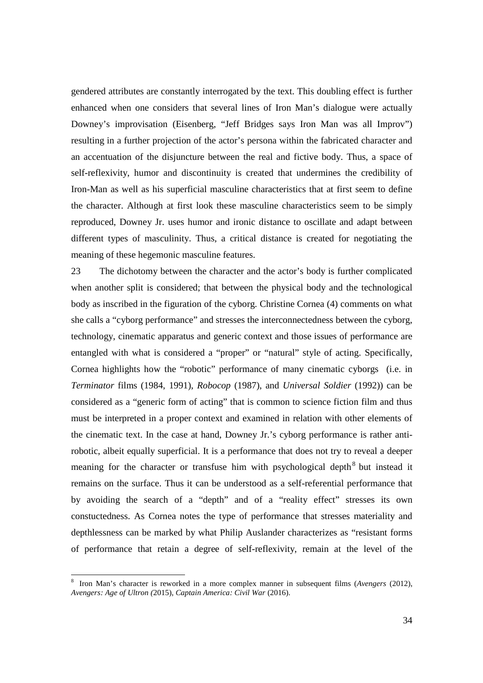gendered attributes are constantly interrogated by the text. This doubling effect is further enhanced when one considers that several lines of Iron Man's dialogue were actually Downey's improvisation (Eisenberg, "Jeff Bridges says Iron Man was all Improv") resulting in a further projection of the actor's persona within the fabricated character and an accentuation of the disjuncture between the real and fictive body. Thus, a space of self-reflexivity, humor and discontinuity is created that undermines the credibility of Iron-Man as well as his superficial masculine characteristics that at first seem to define the character. Although at first look these masculine characteristics seem to be simply reproduced, Downey Jr. uses humor and ironic distance to oscillate and adapt between different types of masculinity. Thus, a critical distance is created for negotiating the meaning of these hegemonic masculine features.

23 The dichotomy between the character and the actor's body is further complicated when another split is considered; that between the physical body and the technological body as inscribed in the figuration of the cyborg. Christine Cornea (4) comments on what she calls a "cyborg performance" and stresses the interconnectedness between the cyborg, technology, cinematic apparatus and generic context and those issues of performance are entangled with what is considered a "proper" or "natural" style of acting. Specifically, Cornea highlights how the "robotic" performance of many cinematic cyborgs (i.e. in *Terminator* films (1984, 1991), *Robocop* (1987), and *Universal Soldier* (1992)) can be considered as a "generic form of acting" that is common to science fiction film and thus must be interpreted in a proper context and examined in relation with other elements of the cinematic text. In the case at hand, Downey Jr.'s cyborg performance is rather antirobotic, albeit equally superficial. It is a performance that does not try to reveal a deeper meaning for the character or transfuse him with psychological depth<sup>8</sup> but instead it remains on the surface. Thus it can be understood as a self-referential performance that by avoiding the search of a "depth" and of a "reality effect" stresses its own constuctedness. As Cornea notes the type of performance that stresses materiality and depthlessness can be marked by what Philip Auslander characterizes as "resistant forms of performance that retain a degree of self-reflexivity, remain at the level of the

<sup>8</sup> Iron Man's character is reworked in a more complex manner in subsequent films (*Avengers* (2012), *Avengers: Age of Ultron (*2015), *Captain America: Civil War* (2016).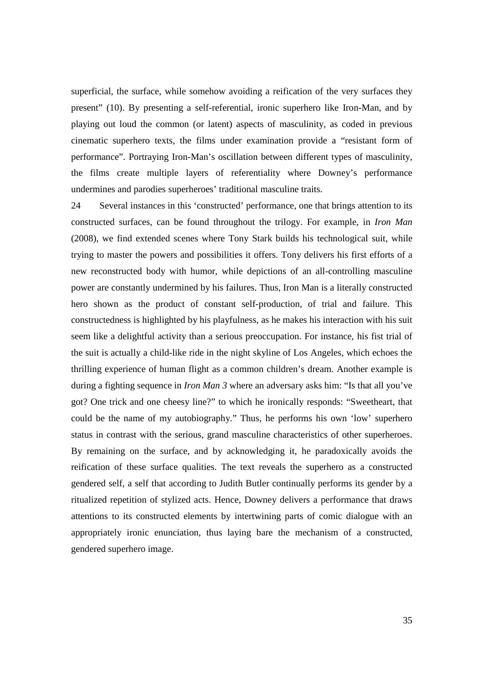superficial, the surface, while somehow avoiding a reification of the very surfaces they present" (10). By presenting a self-referential, ironic superhero like Iron-Man, and by playing out loud the common (or latent) aspects of masculinity, as coded in previous cinematic superhero texts, the films under examination provide a "resistant form of performance". Portraying Iron-Man's oscillation between different types of masculinity, the films create multiple layers of referentiality where Downey's performance undermines and parodies superheroes' traditional masculine traits.

24 Several instances in this 'constructed' performance, one that brings attention to its constructed surfaces, can be found throughout the trilogy. For example, in *Iron Man* (2008), we find extended scenes where Tony Stark builds his technological suit, while trying to master the powers and possibilities it offers. Tony delivers his first efforts of a new reconstructed body with humor, while depictions of an all-controlling masculine power are constantly undermined by his failures. Thus, Iron Man is a literally constructed hero shown as the product of constant self-production, of trial and failure. This constructedness is highlighted by his playfulness, as he makes his interaction with his suit seem like a delightful activity than a serious preoccupation. For instance, his fist trial of the suit is actually a child-like ride in the night skyline of Los Angeles, which echoes the thrilling experience of human flight as a common children's dream. Another example is during a fighting sequence in *Iron Man 3* where an adversary asks him: "Is that all you've got? One trick and one cheesy line?" to which he ironically responds: "Sweetheart, that could be the name of my autobiography." Thus, he performs his own 'low' superhero status in contrast with the serious, grand masculine characteristics of other superheroes. By remaining on the surface, and by acknowledging it, he paradoxically avoids the reification of these surface qualities. The text reveals the superhero as a constructed gendered self, a self that according to Judith Butler continually performs its gender by a ritualized repetition of stylized acts. Hence, Downey delivers a performance that draws attentions to its constructed elements by intertwining parts of comic dialogue with an appropriately ironic enunciation, thus laying bare the mechanism of a constructed, gendered superhero image.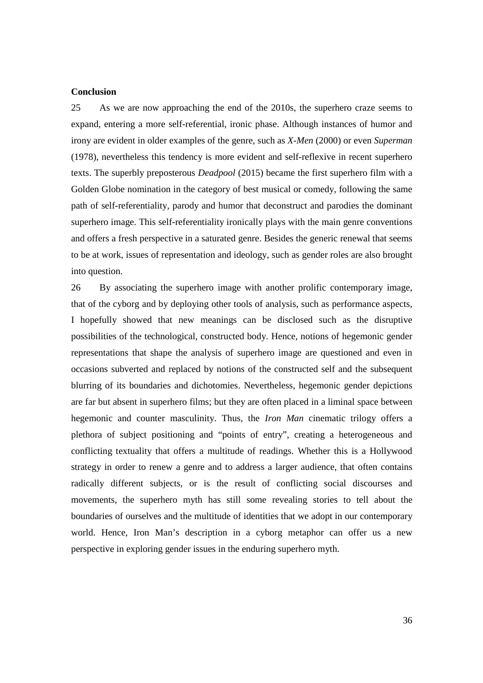### **Conclusion**

25 As we are now approaching the end of the 2010s, the superhero craze seems to expand, entering a more self-referential, ironic phase. Although instances of humor and irony are evident in older examples of the genre, such as *X-Men* (2000) or even *Superman* (1978), nevertheless this tendency is more evident and self-reflexive in recent superhero texts. The superbly preposterous *Deadpool* (2015) became the first superhero film with a Golden Globe nomination in the category of best musical or comedy, following the same path of self-referentiality, parody and humor that deconstruct and parodies the dominant superhero image. This self-referentiality ironically plays with the main genre conventions and offers a fresh perspective in a saturated genre. Besides the generic renewal that seems to be at work, issues of representation and ideology, such as gender roles are also brought into question.

26 By associating the superhero image with another prolific contemporary image, that of the cyborg and by deploying other tools of analysis, such as performance aspects, I hopefully showed that new meanings can be disclosed such as the disruptive possibilities of the technological, constructed body. Hence, notions of hegemonic gender representations that shape the analysis of superhero image are questioned and even in occasions subverted and replaced by notions of the constructed self and the subsequent blurring of its boundaries and dichotomies. Nevertheless, hegemonic gender depictions are far but absent in superhero films; but they are often placed in a liminal space between hegemonic and counter masculinity. Thus, the *Iron Man* cinematic trilogy offers a plethora of subject positioning and "points of entry", creating a heterogeneous and conflicting textuality that offers a multitude of readings. Whether this is a Hollywood strategy in order to renew a genre and to address a larger audience, that often contains radically different subjects, or is the result of conflicting social discourses and movements, the superhero myth has still some revealing stories to tell about the boundaries of ourselves and the multitude of identities that we adopt in our contemporary world. Hence, Iron Man's description in a cyborg metaphor can offer us a new perspective in exploring gender issues in the enduring superhero myth.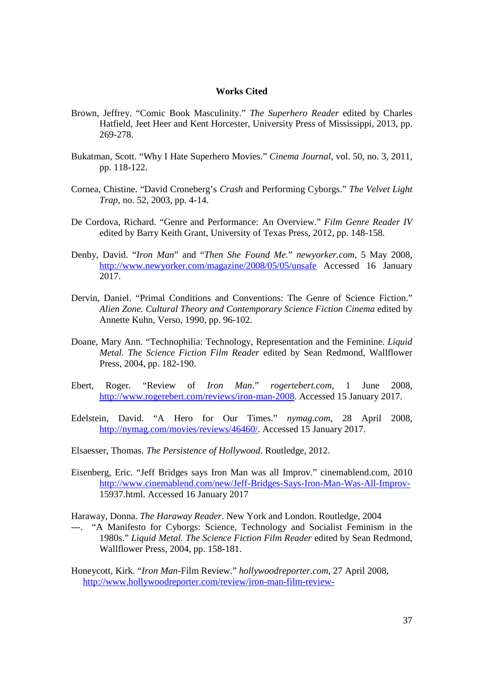### **Works Cited**

- Brown, Jeffrey. "Comic Book Masculinity." *The Superhero Reader* edited by Charles Hatfield, Jeet Heer and Kent Horcester, University Press of Mississippi, 2013, pp. 269-278.
- Bukatman, Scott. "Why I Hate Superhero Movies." *Cinema Journal*, vol. 50, no. 3, 2011, pp. 118-122.
- Cornea, Chistine. "David Croneberg's *Crash* and Performing Cyborgs." *The Velvet Light Trap*, no. 52, 2003, pp. 4-14.
- De Cordova, Richard. "Genre and Performance: An Overview." *Film Genre Reader IV* edited by Barry Keith Grant, University of Texas Press, 2012, pp. 148-158.
- Denby, David. "*Iron Man*" and "*Then She Found Me.*" *newyorker.com*, 5 May 2008, http://www.newyorker.com/magazine/2008/05/05/unsafe Accessed 16 January 2017.
- Dervin, Daniel. "Primal Conditions and Conventions: The Genre of Science Fiction." *Alien Zone. Cultural Theory and Contemporary Science Fiction Cinema* edited by Annette Kuhn, Verso, 1990, pp. 96-102.
- Doane, Mary Ann. "Technophilia: Technology, Representation and the Feminine. *Liquid Metal. The Science Fiction Film Reader* edited by Sean Redmond, Wallflower Press, 2004, pp. 182-190.
- Ebert, Roger. "Review of *Iron Man*." *rogertebert.com*, 1 June 2008, http://www.rogerebert.com/reviews/iron-man-2008. Accessed 15 January 2017.
- Edelstein, David. "A Hero for Our Times." *nymag.com*, 28 April 2008, http://nymag.com/movies/reviews/46460/. Accessed 15 January 2017.
- Elsaesser, Thomas. *The Persistence of Hollywood*. Routledge, 2012.
- Eisenberg, Eric. "Jeff Bridges says Iron Man was all Improv." cinemablend.com, 2010 http://www.cinemablend.com/new/Jeff-Bridges-Says-Iron-Man-Was-All-Improv-15937.html. Accessed 16 January 2017
- Haraway, Donna. *The Haraway Reader*. New York and London. Routledge, 2004
- ---. "A Manifesto for Cyborgs: Science, Technology and Socialist Feminism in the 1980s." *Liquid Metal. The Science Fiction Film Reader* edited by Sean Redmond, Wallflower Press, 2004, pp. 158-181.
- Honeycott, Kirk. "*Iron Man*-Film Review." *hollywoodreporter.com*, 27 April 2008, http://www.hollywoodreporter.com/review/iron-man-film-review-